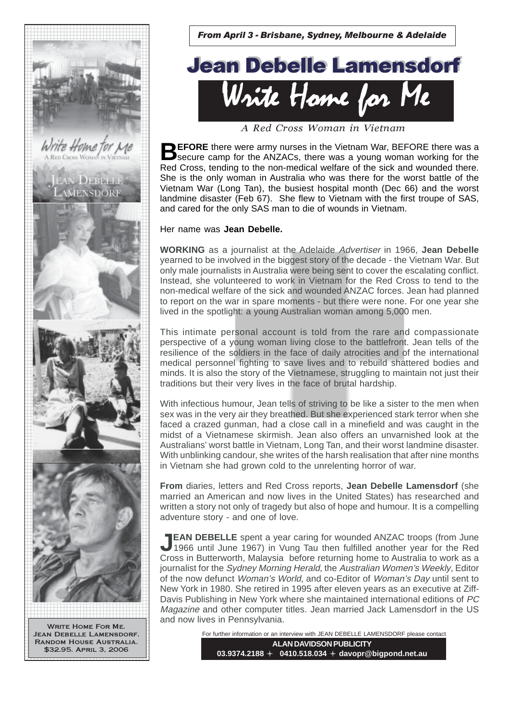

From April 3 - Brisbane, Sydney, Melbourne & Adelaide



A Red Cross Woman in Vietnam

**BEFORE** there were army nurses in the Vietnam War, BEFORE there was a secure camp for the ANZACs, there was a young woman working for the Red Cross, tending to the non-medical welfare of the sick and wounded there. She is the only woman in Australia who was there for the worst battle of the Vietnam War (Long Tan), the busiest hospital month (Dec 66) and the worst landmine disaster (Feb 67). She flew to Vietnam with the first troupe of SAS, and cared for the only SAS man to die of wounds in Vietnam.

## Her name was **Jean Debelle.**

**WORKING** as a journalist at the Adelaide Advertiser in 1966, **Jean Debelle** yearned to be involved in the biggest story of the decade - the Vietnam War. But only male journalists in Australia were being sent to cover the escalating conflict. Instead, she volunteered to work in Vietnam for the Red Cross to tend to the non-medical welfare of the sick and wounded ANZAC forces. Jean had planned to report on the war in spare moments - but there were none. For one year she lived in the spotlight: a young Australian woman among 5,000 men.

This intimate personal account is told from the rare and compassionate perspective of a young woman living close to the battlefront. Jean tells of the resilience of the soldiers in the face of daily atrocities and of the international medical personnel fighting to save lives and to rebuild shattered bodies and minds. It is also the story of the Vietnamese, struggling to maintain not just their traditions but their very lives in the face of brutal hardship.

With infectious humour, Jean tells of striving to be like a sister to the men when sex was in the very air they breathed. But she experienced stark terror when she faced a crazed gunman, had a close call in a minefield and was caught in the midst of a Vietnamese skirmish. Jean also offers an unvarnished look at the Australians' worst battle in Vietnam, Long Tan, and their worst landmine disaster. With unblinking candour, she writes of the harsh realisation that after nine months in Vietnam she had grown cold to the unrelenting horror of war.

**From** diaries, letters and Red Cross reports, **Jean Debelle Lamensdorf** (she married an American and now lives in the United States) has researched and written a story not only of tragedy but also of hope and humour. It is a compelling adventure story - and one of love.

**JEAN DEBELLE** spent a year caring for wounded ANZAC troops (from June 1966 until June 1967) in Vung Tau then fulfilled another year for the Red Cross in Butterworth, Malaysia before returning home to Australia to work as a journalist for the Sydney Morning Herald, the Australian Women's Weekly, Editor of the now defunct Woman's World, and co-Editor of Woman's Day until sent to New York in 1980. She retired in 1995 after eleven years as an executive at Ziff-Davis Publishing in New York where she maintained international editions of PC Magazine and other computer titles. Jean married Jack Lamensdorf in the US and now lives in Pennsylvania.

> **ALAN DAVIDSON PUBLICITY 03.9374.2188 0410.518.034 davopr@bigpond.net.au** For further information or an interview with JEAN DEBELLE LAMENSDORF please contact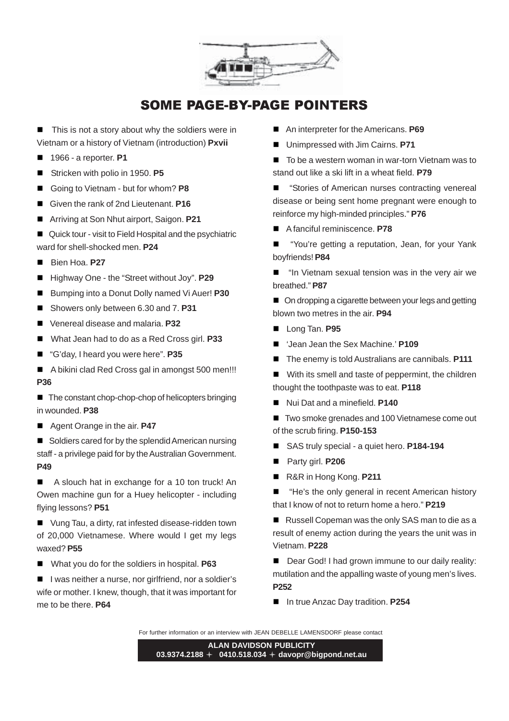

## SOME PAGE-BY-PAGE POINTERS

 $\blacksquare$  This is not a story about why the soldiers were in Vietnam or a history of Vietnam (introduction) **Pxvii**

- 1966 a reporter. **P1**
- Stricken with polio in 1950. **P5**
- Going to Vietnam but for whom? **P8**
- Given the rank of 2nd Lieutenant. **P16**
- Arriving at Son Nhut airport, Saigon. **P21**
- Quick tour visit to Field Hospital and the psychiatric ward for shell-shocked men. **P24**
- Bien Hoa. **P27**
- Highway One the "Street without Joy". **P29**
- Bumping into a Donut Dolly named Vi Auer! **P30**
- Showers only between 6.30 and 7. **P31**
- Venereal disease and malaria. **P32**
- What Jean had to do as a Red Cross girl. **P33**
- "G'day, I heard you were here". **P35**
- A bikini clad Red Cross gal in amongst 500 men!!! **P36**

■ The constant chop-chop-chop of helicopters bringing in wounded. **P38**

■ Agent Orange in the air. **P47** 

Soldiers cared for by the splendid American nursing staff - a privilege paid for by the Australian Government. **P49**

■ A slouch hat in exchange for a 10 ton truck! An Owen machine gun for a Huey helicopter - including flying lessons? **P51**

■ Vung Tau, a dirty, rat infested disease-ridden town of 20,000 Vietnamese. Where would I get my legs waxed? **P55**

■ What you do for the soldiers in hospital. **P63** 

■ I was neither a nurse, nor girlfriend, nor a soldier's wife or mother. I knew, though, that it was important for me to be there. **P64**

- An interpreter for the Americans. **P69**
- Unimpressed with Jim Cairns. **P71**
- To be a western woman in war-torn Vietnam was to stand out like a ski lift in a wheat field. **P79**
- "Stories of American nurses contracting venereal disease or being sent home pregnant were enough to reinforce my high-minded principles." **P76**
- A fanciful reminiscence. **P78**
- "You're getting a reputation, Jean, for your Yank boyfriends! **P84**
- "In Vietnam sexual tension was in the very air we breathed." **P87**
- On dropping a cigarette between your legs and getting blown two metres in the air. **P94**
- **Long Tan. P95**
- Jean Jean the Sex Machine.' **P109**
- The enemy is told Australians are cannibals. **P111**
- With its smell and taste of peppermint, the children thought the toothpaste was to eat. **P118**
- Nui Dat and a minefield. **P140**

■ Two smoke grenades and 100 Vietnamese come out of the scrub firing. **P150-153**

- SAS truly special a quiet hero. **P184-194**
- Party girl. **P206**
- R&R in Hong Kong. **P211**
- "He's the only general in recent American history that I know of not to return home a hero." **P219**

Russell Copeman was the only SAS man to die as a result of enemy action during the years the unit was in Vietnam. **P228**

■ Dear God! I had grown immune to our daily reality: mutilation and the appalling waste of young men's lives. **P252**

■ In true Anzac Day tradition. **P254** 

For further information or an interview with JEAN DEBELLE LAMENSDORF please contact

**ALAN DAVIDSON PUBLICITY 03.9374.2188 0410.518.034 davopr@bigpond.net.au**